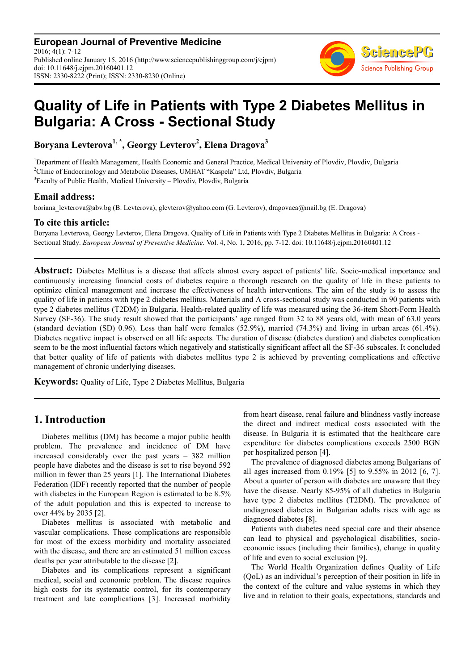**European Journal of Preventive Medicine** 2016; 4(1): 7-12 Published online January 15, 2016 (http://www.sciencepublishinggroup.com/j/ejpm) doi: 10.11648/j.ejpm.20160401.12 ISSN: 2330-8222 (Print); ISSN: 2330-8230 (Online)



# **Quality of Life in Patients with Type 2 Diabetes Mellitus in Bulgaria: A Cross - Sectional Study**

**Boryana Levterova1, \* , Georgy Levterov<sup>2</sup> , Elena Dragova<sup>3</sup>**

<sup>1</sup>Department of Health Management, Health Economic and General Practice, Medical University of Plovdiv, Plovdiv, Bulgaria <sup>2</sup>Clinic of Endocrinology and Metabolic Diseases, UMHAT "Kaspela" Ltd, Plovdiv, Bulgaria <sup>3</sup> Faculty of Public Health, Medical University - Plovdiv, Plovdiv, Bulgaria

#### **Email address:**

boriana\_levterova@abv.bg (B. Levterova), glevterov@yahoo.com (G. Levterov), dragovaea@mail.bg (E. Dragova)

#### **To cite this article:**

Boryana Levterova, Georgy Levterov, Elena Dragova. Quality of Life in Patients with Type 2 Diabetes Mellitus in Bulgaria: A Cross - Sectional Study. *European Journal of Preventive Medicine.* Vol. 4, No. 1, 2016, pp. 7-12. doi: 10.11648/j.ejpm.20160401.12

**Abstract:** Diabetes Mellitus is a disease that affects almost every aspect of patients' life. Socio-medical importance and continuously increasing financial costs of diabetes require a thorough research on the quality of life in these patients to optimize clinical management and increase the effectiveness of health interventions. The aim of the study is to assess the quality of life in patients with type 2 diabetes mellitus. Materials and A cross-sectional study was conducted in 90 patients with type 2 diabetes mellitus (T2DM) in Bulgaria. Health-related quality of life was measured using the 36-item Short-Form Health Survey (SF-36). The study result showed that the participants' age ranged from 32 to 88 years old, with mean of 63.0 years (standard deviation (SD) 0.96). Less than half were females (52.9%), married (74.3%) and living in urban areas (61.4%). Diabetes negative impact is observed on all life aspects. The duration of disease (diabetes duration) and diabetes complication seem to be the most influential factors which negatively and statistically significant affect all the SF-36 subscales. It concluded that better quality of life of patients with diabetes mellitus type 2 is achieved by preventing complications and effective management of chronic underlying diseases.

**Keywords:** Quality of Life, Type 2 Diabetes Mellitus, Bulgaria

## **1. Introduction**

Diabetes mellitus (DM) has become a major public health problem. The prevalence and incidence of DM have increased considerably over the past years – 382 million people have diabetes and the disease is set to rise beyond 592 million in fewer than 25 years [1]. The International Diabetes Federation (IDF) recently reported that the number of people with diabetes in the European Region is estimated to be  $8.5\%$ of the adult population and this is expected to increase to over 44% by 2035 [2].

Diabetes mellitus is associated with metabolic and vascular complications. These complications are responsible for most of the excess morbidity and mortality associated with the disease, and there are an estimated 51 million excess deaths per year attributable to the disease [2].

Diabetes and its complications represent a significant medical, social and economic problem. The disease requires high costs for its systematic control, for its contemporary treatment and late complications [3]. Increased morbidity

from heart disease, renal failure and blindness vastly increase the direct and indirect medical costs associated with the disease. In Bulgaria it is estimated that the healthcare care expenditure for diabetes complications exceeds 2500 BGN per hospitalized person [4].

The prevalence of diagnosed diabetes among Bulgarians of all ages increased from 0.19% [5] to 9.55% in 2012 [6, 7]. About a quarter of person with diabetes are unaware that they have the disease. Nearly 85-95% of all diabetics in Bulgaria have type 2 diabetes mellitus (T2DM). The prevalence of undiagnosed diabetes in Bulgarian adults rises with age as diagnosed diabetes [8].

Patients with diabetes need special care and their absence can lead to physical and psychological disabilities, socioeconomic issues (including their families), change in quality of life and even to social exclusion [9].

The World Health Organization defines Quality of Life (QoL) as an individual's perception of their position in life in the context of the culture and value systems in which they live and in relation to their goals, expectations, standards and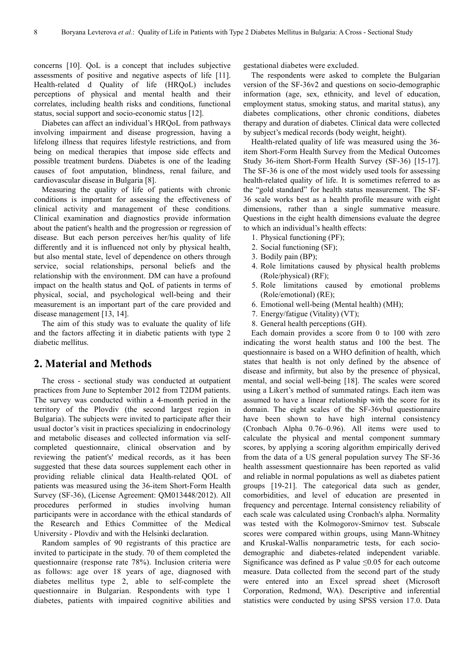concerns [10]. QoL is a concept that includes subjective assessments of positive and negative aspects of life [11]. Health-related d Quality of life (HRQoL) includes perceptions of physical and mental health and their correlates, including health risks and conditions, functional status, social support and socio-economic status [12].

Diabetes can affect an individual's HRQoL from pathways involving impairment and disease progression, having a lifelong illness that requires lifestyle restrictions, and from being on medical therapies that impose side effects and possible treatment burdens. Diabetes is one of the leading causes of foot amputation, blindness, renal failure, and cardiovascular disease in Bulgaria [8].

Measuring the quality of life of patients with chronic conditions is important for assessing the effectiveness of clinical activity and management of these conditions. Clinical examination and diagnostics provide information about the patient's health and the progression or regression of disease. But each person perceives her/his quality of life differently and it is influenced not only by physical health, but also mental state, level of dependence on others through service, social relationships, personal beliefs and the relationship with the environment. DM can have a profound impact on the health status and QoL of patients in terms of physical, social, and psychological well-being and their measurement is an important part of the care provided and disease management [13, 14].

The aim of this study was to evaluate the quality of life and the factors affecting it in diabetic patients with type 2 diabetic mellitus.

## **2. Material and Methods**

The cross - sectional study was conducted at outpatient practices from June to September 2012 from T2DM patients. The survey was conducted within a 4-month period in the territory of the Plovdiv (the second largest region in Bulgaria). The subjects were invited to participate after their usual doctor's visit in practices specializing in endocrinology and metabolic diseases and collected information via selfcompleted questionnaire, clinical observation and by reviewing the patient's' medical records, as it has been suggested that these data sources supplement each other in providing reliable clinical data Health-related QOL of patients was measured using the 36-item Short-Form Health Survey (SF-36), (License Agreement: QM013448/2012). All procedures performed in studies involving human participants were in accordance with the ethical standards of the Research and Ethics Committee of the Medical University - Plovdiv and with the Helsinki declaration.

Random samples of 90 registrants of this practice are invited to participate in the study. 70 of them completed the questionnaire (response rate 78%). Inclusion criteria were as follows: age over 18 years of age, diagnosed with diabetes mellitus type 2, able to self-complete the questionnaire in Bulgarian. Respondents with type 1 diabetes, patients with impaired cognitive abilities and gestational diabetes were excluded.

The respondents were asked to complete the Bulgarian version of the SF-36v2 and questions on socio-demographic information (age, sex, ethnicity, and level of education, employment status, smoking status, and marital status), any diabetes complications, other chronic conditions, diabetes therapy and duration of diabetes. Clinical data were collected by subject's medical records (body weight, height).

Health-related quality of life was measured using the 36 item Short-Form Health Survey from the Medical Outcomes Study 36-item Short-Form Health Survey (SF-36) [15-17]. The SF-36 is one of the most widely used tools for assessing health-related quality of life. It is sometimes referred to as the "gold standard" for health status measurement. The SF-36 scale works best as a health profile measure with eight dimensions, rather than a single summative measure. Questions in the eight health dimensions evaluate the degree to which an individual's health effects:

- 1. Physical functioning (PF);
- 2. Social functioning (SF);
- 3. Bodily pain (BP);
- 4. Role limitations caused by physical health problems (Role/physical) (RF);
- 5. Role limitations caused by emotional problems (Role/emotional) (RE);
- 6. Emotional well-being (Mental health) (MH);
- 7. Energy/fatigue (Vitality) (VT);
- 8. General health perceptions (GH).

Each domain provides a score from 0 to 100 with zero indicating the worst health status and 100 the best. The questionnaire is based on a WHO definition of health, which states that health is not only defined by the absence of disease and infirmity, but also by the presence of physical, mental, and social well-being [18]. The scales were scored using a Likert's method of summated ratings. Each item was assumed to have a linear relationship with the score for its domain. The eight scales of the SF-36vbul questionnaire have been shown to have high internal consistency (Cronbach Alpha 0.76–0.96). All items were used to calculate the physical and mental component summary scores, by applying a scoring algorithm empirically derived from the data of a US general population survey The SF-36 health assessment questionnaire has been reported as valid and reliable in normal populations as well as diabetes patient groups [19-21]. The categorical data such as gender, comorbidities, and level of education are presented in frequency and percentage. Internal consistency reliability of each scale was calculated using Cronbach's alpha. Normality was tested with the Kolmogorov-Smirnov test. Subscale scores were compared within groups, using Mann-Whitney and Kruskal-Wallis nonparametric tests, for each sociodemographic and diabetes-related independent variable. Significance was defined as P value  $\leq 0.05$  for each outcome measure. Data collected from the second part of the study were entered into an Excel spread sheet (Microsoft Corporation, Redmond, WA). Descriptive and inferential statistics were conducted by using SPSS version 17.0. Data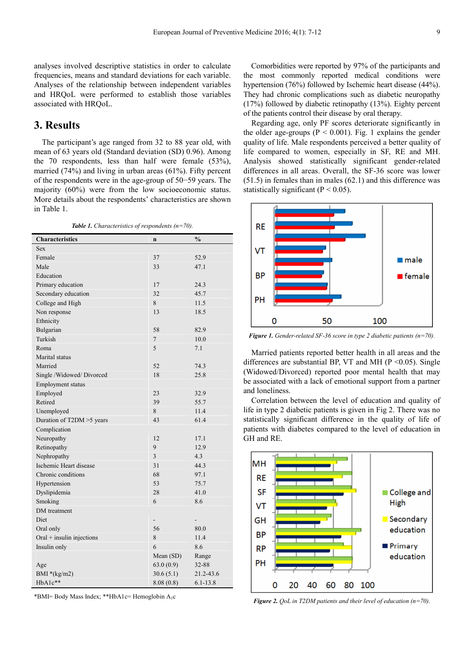analyses involved descriptive statistics in order to calculate frequencies, means and standard deviations for each variable. Analyses of the relationship between independent variables and HRQoL were performed to establish those variables associated with HRQoL.

## **3. Results**

The participant's age ranged from 32 to 88 year old, with mean of 63 years old (Standard deviation (SD) 0.96). Among the 70 respondents, less than half were female (53%), married (74%) and living in urban areas (61%). Fifty percent of the respondents were in the age-group of 50−59 years. The majority (60%) were from the low socioeconomic status. More details about the respondents' characteristics are shown in Table 1.

*Table 1. Characteristics of respondents (n=70).* 

| <b>Characteristics</b>    | $\mathbf n$ | $\frac{0}{0}$ |
|---------------------------|-------------|---------------|
| Sex                       |             |               |
| Female                    | 37          | 52.9          |
| Male                      | 33          | 47.1          |
| Education                 |             |               |
| Primary education         | 17          | 24.3          |
| Secondary education       | 32          | 45.7          |
| College and High          | 8           | 11.5          |
| Non response              | 13          | 18.5          |
| Ethnicity                 |             |               |
| Bulgarian                 | 58          | 82.9          |
| Turkish                   | 7           | 10.0          |
| Roma                      | 5           | 7.1           |
| Marital status            |             |               |
| Married                   | 52          | 74.3          |
| Single /Widowed/ Divorced | 18          | 25.8          |
| Employment status         |             |               |
| Employed                  | 23          | 32.9          |
| Retired                   | 39          | 55.7          |
| Unemployed                | 8           | 11.4          |
| Duration of T2DM >5 years | 43          | 61.4          |
| Complication              |             |               |
| Neuropathy                | 12          | 17.1          |
| Retinopathy               | 9           | 12.9          |
| Nephropathy               | 3           | 4.3           |
| Ischemic Heart disease    | 31          | 44.3          |
| Chronic conditions        | 68          | 97.1          |
| Hypertension              | 53          | 75.7          |
| Dyslipidemia              | 28          | 41.0          |
| Smoking                   | 6           | 8.6           |
| DM treatment              |             |               |
| Diet                      |             |               |
| Oral only                 | 56          | 80.0          |
| Oral + insulin injections | 8           | 11.4          |
| Insulin only              | 6           | 8.6           |
|                           | Mean (SD)   | Range         |
| Age                       | 63.0(0.9)   | 32-88         |
| BMI $*(kg/m2)$            | 30.6(5.1)   | 21.2-43.6     |
| HbA1c**                   | 8.08(0.8)   | $6.1 - 13.8$  |

\*BMI= Body Mass Index; \*\*HbA1c= Hemoglobin A1c

Comorbidities were reported by 97% of the participants and the most commonly reported medical conditions were hypertension (76%) followed by Ischemic heart disease (44%). They had chronic complications such as diabetic neuropathy (17%) followed by diabetic retinopathy (13%). Eighty percent of the patients control their disease by oral therapy.

Regarding age, only PF scores deteriorate significantly in the older age-groups ( $P < 0.001$ ). Fig. 1 explains the gender quality of life. Male respondents perceived a better quality of life compared to women, especially in SF, RE and MH. Analysis showed statistically significant gender-related differences in all areas. Overall, the SF-36 score was lower (51.5) in females than in males (62.1) and this difference was statistically significant ( $P < 0.05$ ).



*Figure 1. Gender-related SF-36 score in type 2 diabetic patients (n=70).* 

Married patients reported better health in all areas and the differences are substantial BP, VT and MH ( $P \le 0.05$ ). Single (Widowed/Divorced) reported poor mental health that may be associated with a lack of emotional support from a partner and loneliness.

Correlation between the level of education and quality of life in type 2 diabetic patients is given in Fig 2. There was no statistically significant difference in the quality of life of patients with diabetes compared to the level of education in GH and RE.



*Figure 2. QoL in T2DM patients and their level of education (n=70).*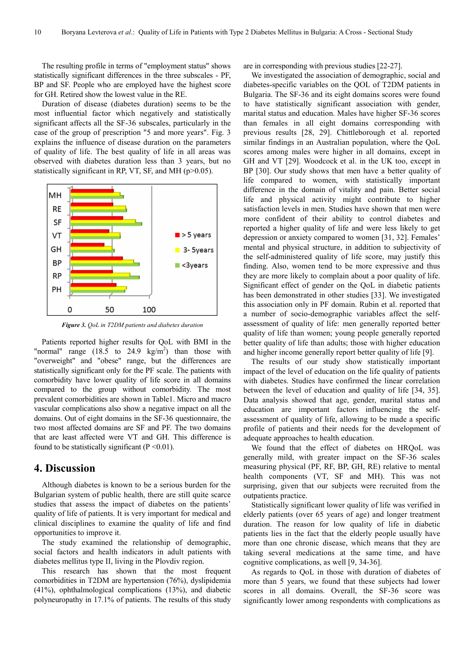The resulting profile in terms of "employment status" shows statistically significant differences in the three subscales - PF, BP and SF. People who are employed have the highest score for GH. Retired show the lowest value in the RE.

Duration of disease (diabetes duration) seems to be the most influential factor which negatively and statistically significant affects all the SF-36 subscales, particularly in the case of the group of prescription "5 and more years". Fig. 3 explains the influence of disease duration on the parameters of quality of life. The best quality of life in all areas was observed with diabetes duration less than 3 years, but no statistically significant in RP, VT, SF, and MH (p>0.05).



*Figure 3. QoL in T2DM patients and diabetes duration* 

Patients reported higher results for QoL with BMI in the "normal" range  $(18.5 \text{ to } 24.9 \text{ kg/m}^2)$  than those with "overweight" and "obese" range, but the differences are statistically significant only for the PF scale. The patients with comorbidity have lower quality of life score in all domains compared to the group without comorbidity. The most prevalent comorbidities are shown in Table1. Micro and macro vascular complications also show a negative impact on all the domains. Out of eight domains in the SF-36 questionnaire, the two most affected domains are SF and PF. The two domains that are least affected were VT and GH. This difference is found to be statistically significant  $(P < 0.01)$ .

## **4. Discussion**

Although diabetes is known to be a serious burden for the Bulgarian system of public health, there are still quite scarce studies that assess the impact of diabetes on the patients' quality of life of patients. It is very important for medical and clinical disciplines to examine the quality of life and find opportunities to improve it.

The study examined the relationship of demographic, social factors and health indicators in adult patients with diabetes mellitus type II, living in the Plovdiv region.

This research has shown that the most frequent comorbidities in T2DM are hypertension (76%), dyslipidemia (41%), ophthalmological complications (13%), and diabetic polyneuropathy in 17.1% of patients. The results of this study

are in corresponding with previous studies [22-27].

We investigated the association of demographic, social and diabetes-specific variables on the QOL of T2DM patients in Bulgaria. The SF-36 and its eight domains scores were found to have statistically significant association with gender, marital status and education. Males have higher SF-36 scores than females in all eight domains corresponding with previous results [28, 29]. Chittleborough et al. reported similar findings in an Australian population, where the QoL scores among males were higher in all domains, except in GH and VT [29]. Woodcock et al. in the UK too, except in BP [30]. Our study shows that men have a better quality of life compared to women, with statistically important difference in the domain of vitality and pain. Better social life and physical activity might contribute to higher satisfaction levels in men. Studies have shown that men were more confident of their ability to control diabetes and reported a higher quality of life and were less likely to get depression or anxiety compared to women [31, 32]. Females' mental and physical structure, in addition to subjectivity of the self-administered quality of life score, may justify this finding. Also, women tend to be more expressive and thus they are more likely to complain about a poor quality of life. Significant effect of gender on the QoL in diabetic patients has been demonstrated in other studies [33]. We investigated this association only in PF domain. Rubin et al. reported that a number of socio-demographic variables affect the selfassessment of quality of life: men generally reported better quality of life than women; young people generally reported better quality of life than adults; those with higher education and higher income generally report better quality of life [9].

The results of our study show statistically important impact of the level of education on the life quality of patients with diabetes. Studies have confirmed the linear correlation between the level of education and quality of life [34, 35]. Data analysis showed that age, gender, marital status and education are important factors influencing the selfassessment of quality of life, allowing to be made a specific profile of patients and their needs for the development of adequate approaches to health education.

We found that the effect of diabetes on HRQoL was generally mild, with greater impact on the SF-36 scales measuring physical (PF, RF, BP, GH, RE) relative to mental health components (VT, SF and MH). This was not surprising, given that our subjects were recruited from the outpatients practice.

Statistically significant lower quality of life was verified in elderly patients (over 65 years of age) and longer treatment duration. The reason for low quality of life in diabetic patients lies in the fact that the elderly people usually have more than one chronic disease, which means that they are taking several medications at the same time, and have cognitive complications, as well [9, 34-36].

As regards to QoL in those with duration of diabetes of more than 5 years, we found that these subjects had lower scores in all domains. Overall, the SF-36 score was significantly lower among respondents with complications as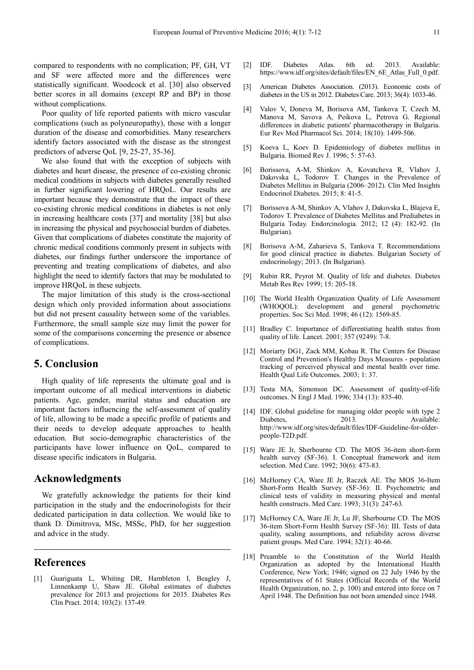compared to respondents with no complication; PF, GH, VT and SF were affected more and the differences were statistically significant. Woodcock et al. [30] also observed better scores in all domains (except RP and BP) in those without complications.

Poor quality of life reported patients with micro vascular complications (such as polyneuropathy), those with a longer duration of the disease and comorbidities. Many researchers identify factors associated with the disease as the strongest predictors of adverse QoL [9, 25-27, 35-36].

We also found that with the exception of subjects with diabetes and heart disease, the presence of co-existing chronic medical conditions in subjects with diabetes generally resulted in further significant lowering of HRQoL. Our results are important because they demonstrate that the impact of these co-existing chronic medical conditions in diabetes is not only in increasing healthcare costs [37] and mortality [38] but also in increasing the physical and psychosocial burden of diabetes. Given that complications of diabetes constitute the majority of chronic medical conditions commonly present in subjects with diabetes, our findings further underscore the importance of preventing and treating complications of diabetes, and also highlight the need to identify factors that may be modulated to improve HRQoL in these subjects.

The major limitation of this study is the cross-sectional design which only provided information about associations but did not present causality between some of the variables. Furthermore, the small sample size may limit the power for some of the comparisons concerning the presence or absence of complications.

## **5. Conclusion**

High quality of life represents the ultimate goal and is important outcome of all medical interventions in diabetic patients. Age, gender, marital status and education are important factors influencing the self-assessment of quality of life, allowing to be made a specific profile of patients and their needs to develop adequate approaches to health education. But socio-demographic characteristics of the participants have lower influence on QoL, compared to disease specific indicators in Bulgaria.

## **Acknowledgments**

We gratefully acknowledge the patients for their kind participation in the study and the endocrinologists for their dedicated participation in data collection. We would like to thank D. Dimitrova, MSc, MSSc, PhD, for her suggestion and advice in the study.

## **References**

[1] Guariguata L, Whiting DR, Hambleton I, Beagley J, Linnenkamp U, Shaw JE. Global estimates of diabetes prevalence for 2013 and projections for 2035. Diabetes Res Clin Pract. 2014; 103(2): 137-49.

- [2] IDF. Diabetes Atlas. 6th ed. 2013. Available: https://www.idf.org/sites/default/files/EN\_6E\_Atlas\_Full\_0.pdf.
- [3] American Diabetes Association. (2013). Economic costs of diabetes in the US in 2012. Diabetes Care. 2013; 36(4): 1033-46.
- [4] Valov V, Doneva M, Borisova AM, Tankova T, Czech M, Manova M, Savova A, Peikova L, Petrova G. Regional differences in diabetic patients' pharmacotherapy in Bulgaria. Eur Rev Med Pharmacol Sci. 2014; 18(10): 1499-506.
- [5] Koeva L, Koev D. Epidemiology of diabetes mellitus in Bulgaria. Biomed Rev J. 1996; 5: 57-63.
- [6] Borissova, A-M, Shinkov A, Kovatcheva R, Vlahov J, Dakovska L, Todorov T. Changes in the Prevalence of Diabetes Mellitus in Bulgaria (2006–2012). Clin Med Insights Endocrinol Diabetes. 2015; 8: 41-5.
- [7] Borissova A-M, Shinkov A, Vlahov J, Dakovska L, Blajeva Е, Todorov T. Prevalence of Diabetes Mellitus and Prediabetes in Bulgaria Today. Endorcinologia. 2012; 12 (4): 182-92. (In Bulgarian).
- [8] Borisova A-M, Zaharieva S, Tankova T. Recommendations for good clinical practice in diabetes. Bulgarian Society of endocrinology; 2013. (In Bulgarian).
- [9] Rubin RR, Peyrot M. Quality of life and diabetes. Diabetes Metab Res Rev 1999; 15: 205-18.
- [10] The World Health Organization Quality of Life Assessment (WHOQOL): development and general psychometric properties. Soc Sci Med. 1998; 46 (12): 1569-85.
- [11] Bradley C. Importance of differentiating health status from quality of life. Lancet. 2001; 357 (9249): 7-8.
- [12] Moriarty DG1, Zack MM, Kobau R. The Centers for Disease Control and Prevention's Healthy Days Measures - population tracking of perceived physical and mental health over time. Health Qual Life Outcomes. 2003; 1: 37.
- [13] Testa MA, Simonson DC. Assessment of quality-of-life outcomes. N Engl J Med. 1996; 334 (13): 835-40.
- [14] IDF. Global guideline for managing older people with type 2 Diabetes, 2013. Available: http://www.idf.org/sites/default/files/IDF-Guideline-for-olderpeople-T2D.pdf.
- [15] Ware JE Jr, Sherbourne CD. The MOS 36-item short-form health survey (SF-36). I. Conceptual framework and item selection. Med Care. 1992; 30(6): 473-83.
- [16] McHorney CA, Ware JE Jr, Raczek AE. The MOS 36-Item Short-Form Health Survey (SF-36): II. Psychometric and clinical tests of validity in measuring physical and mental health constructs. Med Care. 1993; 31(3): 247-63.
- [17] McHorney CA, Ware JE Jr, Lu JF, Sherbourne CD. The MOS 36-item Short-Form Health Survey (SF-36): III. Tests of data quality, scaling assumptions, and reliability across diverse patient groups. Med Care. 1994; 32(1): 40-66.
- [18] Preamble to the Constitution of the World Health Organization as adopted by the International Health Conference, New York; 1946; signed on 22 July 1946 by the representatives of 61 States (Official Records of the World Health Organization, no. 2, p. 100) and entered into force on 7 April 1948. The Definition has not been amended since 1948.